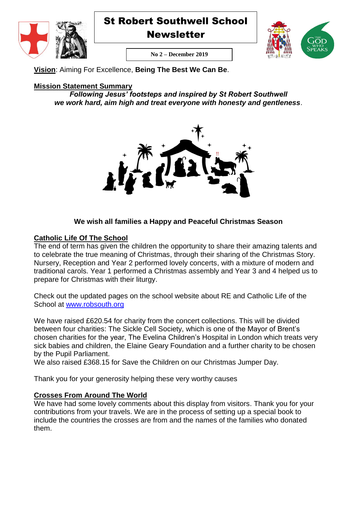



**Newsletter** 



**No 2 – December 2019**

**Vision**: Aiming For Excellence, **Being The Best We Can Be**.

# **Mission Statement Summary**

*Following Jesus' footsteps and inspired by St Robert Southwell we work hard, aim high and treat everyone with honesty and gentleness*.



# **We wish all families a Happy and Peaceful Christmas Season**

## **Catholic Life Of The School**

The end of term has given the children the opportunity to share their amazing talents and to celebrate the true meaning of Christmas, through their sharing of the Christmas Story. Nursery, Reception and Year 2 performed lovely concerts, with a mixture of modern and traditional carols. Year 1 performed a Christmas assembly and Year 3 and 4 helped us to prepare for Christmas with their liturgy.

Check out the updated pages on the school website about RE and Catholic Life of the School at [www.robsouth.org](http://www.robsouth.org/)

We have raised £620.54 for charity from the concert collections. This will be divided between four charities: The Sickle Cell Society, which is one of the Mayor of Brent's chosen charities for the year, The Evelina Children's Hospital in London which treats very sick babies and children, the Elaine Geary Foundation and a further charity to be chosen by the Pupil Parliament.

We also raised £368.15 for Save the Children on our Christmas Jumper Day.

Thank you for your generosity helping these very worthy causes

## **Crosses From Around The World**

We have had some lovely comments about this display from visitors. Thank you for your contributions from your travels. We are in the process of setting up a special book to include the countries the crosses are from and the names of the families who donated them.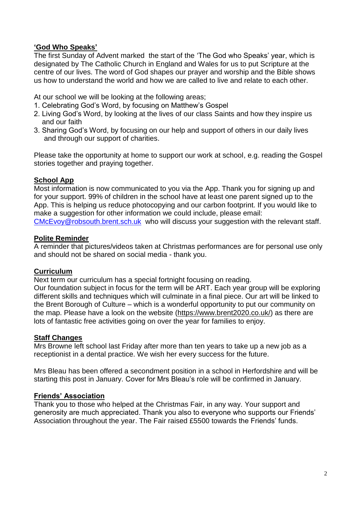## **'God Who Speaks'**

The first Sunday of Advent marked the start of the 'The God who Speaks' year, which is designated by The Catholic Church in England and Wales for us to put Scripture at the centre of our lives. The word of God shapes our prayer and worship and the Bible shows us how to understand the world and how we are called to live and relate to each other.

At our school we will be looking at the following areas;

- 1. Celebrating God's Word, by focusing on Matthew's Gospel
- 2. Living God's Word, by looking at the lives of our class Saints and how they inspire us and our faith
- 3. Sharing God's Word, by focusing on our help and support of others in our daily lives and through our support of charities.

Please take the opportunity at home to support our work at school, e.g. reading the Gospel stories together and praying together.

### **School App**

Most information is now communicated to you via the App. Thank you for signing up and for your support. 99% of children in the school have at least one parent signed up to the App. This is helping us reduce photocopying and our carbon footprint. If you would like to make a suggestion for other information we could include, please email: [CMcEvoy@robsouth.brent.sch.uk](mailto:CMcEvoy@robsouth.brent.sch.uk) who will discuss your suggestion with the relevant staff.

#### **Polite Reminder**

A reminder that pictures/videos taken at Christmas performances are for personal use only and should not be shared on social media - thank you.

#### **Curriculum**

Next term our curriculum has a special fortnight focusing on reading.

Our foundation subject in focus for the term will be ART. Each year group will be exploring different skills and techniques which will culminate in a final piece. Our art will be linked to the Brent Borough of Culture – which is a wonderful opportunity to put our community on the map. Please have a look on the website [\(https://www.brent2020.co.uk/\)](https://www.brent2020.co.uk/) as there are lots of fantastic free activities going on over the year for families to enjoy.

#### **Staff Changes**

Mrs Browne left school last Friday after more than ten years to take up a new job as a receptionist in a dental practice. We wish her every success for the future.

Mrs Bleau has been offered a secondment position in a school in Herfordshire and will be starting this post in January. Cover for Mrs Bleau's role will be confirmed in January.

#### **Friends' Association**

Thank you to those who helped at the Christmas Fair, in any way. Your support and generosity are much appreciated. Thank you also to everyone who supports our Friends' Association throughout the year. The Fair raised £5500 towards the Friends' funds.